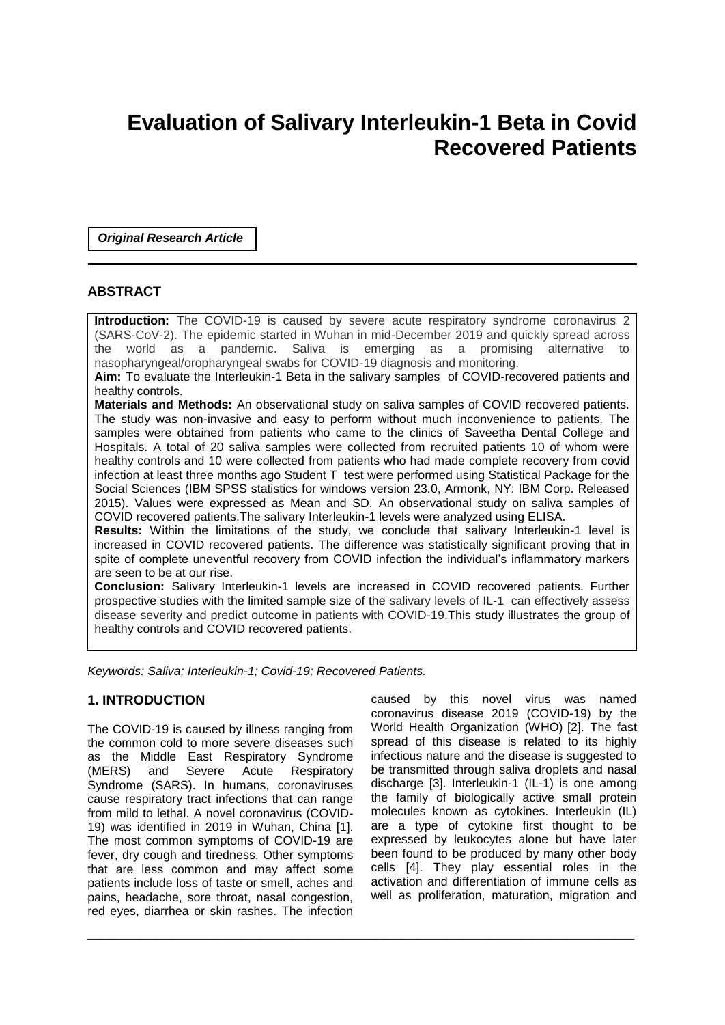# **Evaluation of Salivary Interleukin-1 Beta in Covid Recovered Patients**

*Original Research Article*

# **ABSTRACT**

**Introduction:** The COVID-19 is caused by severe acute respiratory syndrome coronavirus 2 (SARS-CoV-2). The epidemic started in Wuhan in mid-December 2019 and quickly spread across the world as a pandemic. Saliva is emerging as a promising alternative to nasopharyngeal/oropharyngeal swabs for COVID-19 diagnosis and monitoring.

**Aim:** To evaluate the Interleukin-1 Beta in the salivary samples of COVID-recovered patients and healthy controls.

**Materials and Methods:** An observational study on saliva samples of COVID recovered patients. The study was non-invasive and easy to perform without much inconvenience to patients. The samples were obtained from patients who came to the clinics of Saveetha Dental College and Hospitals. A total of 20 saliva samples were collected from recruited patients 10 of whom were healthy controls and 10 were collected from patients who had made complete recovery from covid infection at least three months ago Student T test were performed using Statistical Package for the Social Sciences (IBM SPSS statistics for windows version 23.0, Armonk, NY: IBM Corp. Released 2015). Values were expressed as Mean and SD. An observational study on saliva samples of COVID recovered patients.The salivary Interleukin-1 levels were analyzed using ELISA.

**Results:** Within the limitations of the study, we conclude that salivary Interleukin-1 level is increased in COVID recovered patients. The difference was statistically significant proving that in spite of complete uneventful recovery from COVID infection the individual's inflammatory markers are seen to be at our rise.

**Conclusion:** Salivary Interleukin-1 levels are increased in COVID recovered patients. Further prospective studies with the limited sample size of the salivary levels of IL-1 can effectively assess disease severity and predict outcome in patients with COVID-19.This study illustrates the group of healthy controls and COVID recovered patients.

\_\_\_\_\_\_\_\_\_\_\_\_\_\_\_\_\_\_\_\_\_\_\_\_\_\_\_\_\_\_\_\_\_\_\_\_\_\_\_\_\_\_\_\_\_\_\_\_\_\_\_\_\_\_\_\_\_\_\_\_\_\_\_\_\_\_\_\_\_\_\_\_\_\_\_\_\_\_\_\_\_\_\_\_\_\_\_\_\_\_\_\_\_\_\_\_\_\_\_\_\_

*Keywords: Saliva; Interleukin-1; Covid-19; Recovered Patients.*

# **1. INTRODUCTION**

The COVID-19 is caused by illness ranging from the common cold to more severe diseases such as the Middle East Respiratory Syndrome (MERS) and Severe Acute Respiratory Syndrome (SARS). In humans, coronaviruses cause respiratory tract infections that can range from mild to lethal. A novel coronavirus (COVID-19) was identified in 2019 in Wuhan, China [1]. The most common symptoms of COVID-19 are fever, dry cough and tiredness. Other symptoms that are less common and may affect some patients include loss of taste or smell, aches and pains, headache, sore throat, nasal congestion, red eyes, diarrhea or skin rashes. The infection

caused by this novel virus was named coronavirus disease 2019 (COVID-19) by the World Health Organization (WHO) [2]. The fast spread of this disease is related to its highly infectious nature and the disease is suggested to be transmitted through saliva droplets and nasal discharge [3]. Interleukin-1 (IL-1) is one among the family of biologically active small protein molecules known as cytokines. Interleukin (IL) are a type of cytokine first thought to be expressed by leukocytes alone but have later been found to be produced by many other body cells [4]. They play essential roles in the activation and differentiation of immune cells as well as proliferation, maturation, migration and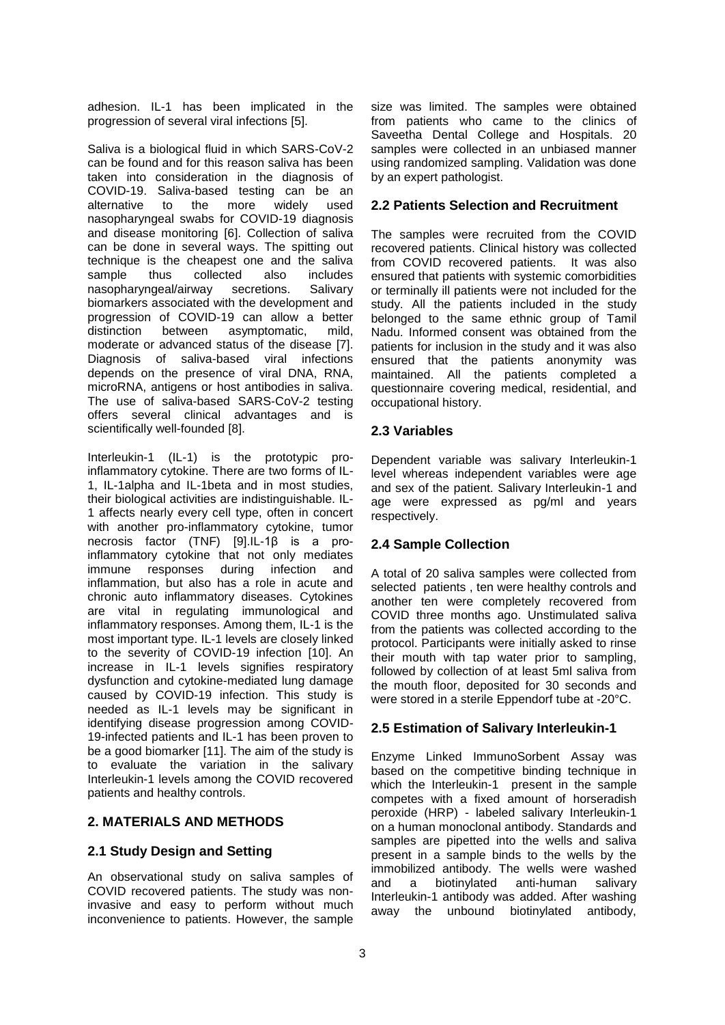adhesion. IL-1 has been implicated in the progression of several viral infections [5].

Saliva is a biological fluid in which SARS-CoV-2 can be found and for this reason saliva has been taken into consideration in the diagnosis of COVID-19. Saliva-based testing can be an alternative to the more widely used nasopharyngeal swabs for COVID-19 diagnosis and disease monitoring [6]. Collection of saliva can be done in several ways. The spitting out technique is the cheapest one and the saliva sample thus collected also includes nasopharyngeal/airway secretions. Salivary biomarkers associated with the development and progression of COVID-19 can allow a better distinction between asymptomatic, mild, moderate or advanced status of the disease [7]. Diagnosis of saliva-based viral infections depends on the presence of viral DNA, RNA, microRNA, antigens or host antibodies in saliva. The use of saliva-based SARS-CoV-2 testing offers several clinical advantages and is scientifically well-founded [8].

Interleukin-1 (IL-1) is the prototypic proinflammatory cytokine. There are two forms of IL-1, IL-1alpha and IL-1beta and in most studies, their biological activities are indistinguishable. IL-1 affects nearly every cell type, often in concert with another pro-inflammatory cytokine, tumor necrosis factor (TNF) [9].IL-1β is a proinflammatory cytokine that not only mediates immune responses during infection and inflammation, but also has a role in acute and chronic auto inflammatory diseases. Cytokines are vital in regulating immunological and inflammatory responses. Among them, IL-1 is the most important type. IL-1 levels are closely linked to the severity of COVID-19 infection [10]. An increase in IL-1 levels signifies respiratory dysfunction and cytokine-mediated lung damage caused by COVID-19 infection. This study is needed as IL-1 levels may be significant in identifying disease progression among COVID-19-infected patients and IL-1 has been proven to be a good biomarker [11]. The aim of the study is to evaluate the variation in the salivary Interleukin-1 levels among the COVID recovered patients and healthy controls.

# **2. MATERIALS AND METHODS**

# **2.1 Study Design and Setting**

An observational study on saliva samples of COVID recovered patients. The study was noninvasive and easy to perform without much inconvenience to patients. However, the sample

size was limited. The samples were obtained from patients who came to the clinics of Saveetha Dental College and Hospitals. 20 samples were collected in an unbiased manner using randomized sampling. Validation was done by an expert pathologist.

# **2.2 Patients Selection and Recruitment**

The samples were recruited from the COVID recovered patients. Clinical history was collected from COVID recovered patients. It was also ensured that patients with systemic comorbidities or terminally ill patients were not included for the study. All the patients included in the study belonged to the same ethnic group of Tamil Nadu. Informed consent was obtained from the patients for inclusion in the study and it was also ensured that the patients anonymity was maintained. All the patients completed a questionnaire covering medical, residential, and occupational history.

# **2.3 Variables**

Dependent variable was salivary Interleukin-1 level whereas independent variables were age and sex of the patient. Salivary Interleukin-1 and age were expressed as pg/ml and years respectively.

# **2.4 Sample Collection**

A total of 20 saliva samples were collected from selected patients , ten were healthy controls and another ten were completely recovered from COVID three months ago. Unstimulated saliva from the patients was collected according to the protocol. Participants were initially asked to rinse their mouth with tap water prior to sampling, followed by collection of at least 5ml saliva from the mouth floor, deposited for 30 seconds and were stored in a sterile Eppendorf tube at -20°C.

# **2.5 Estimation of Salivary Interleukin-1**

Enzyme Linked ImmunoSorbent Assay was based on the competitive binding technique in which the Interleukin-1 present in the sample competes with a fixed amount of horseradish peroxide (HRP) - labeled salivary Interleukin-1 on a human monoclonal antibody. Standards and samples are pipetted into the wells and saliva present in a sample binds to the wells by the immobilized antibody. The wells were washed and a biotinylated anti-human salivary Interleukin-1 antibody was added. After washing away the unbound biotinylated antibody,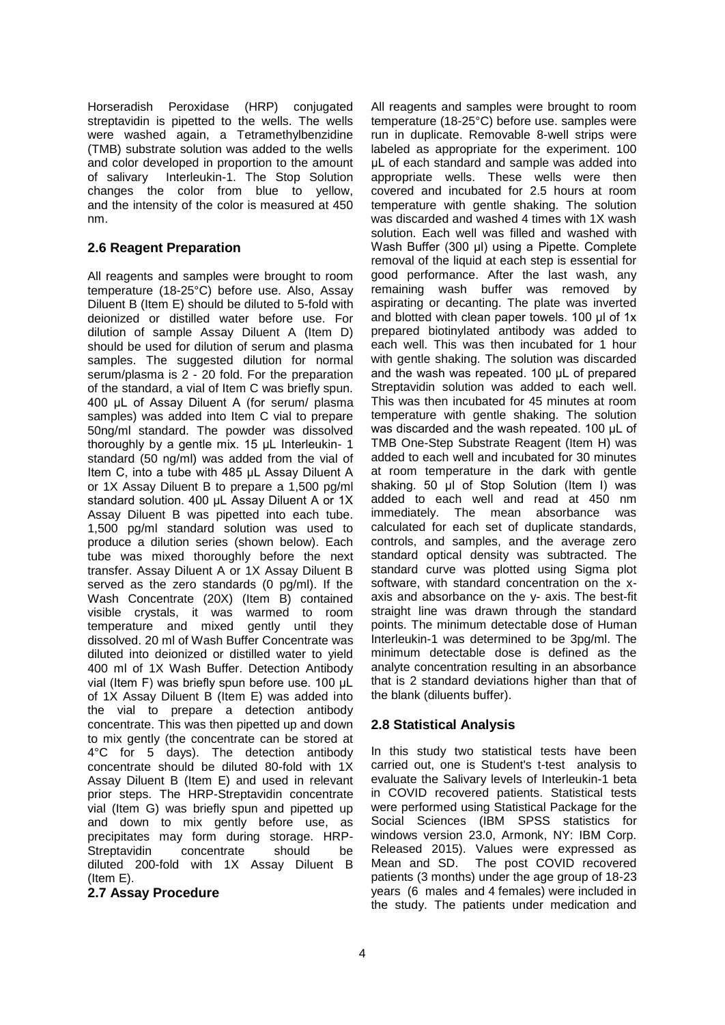Horseradish Peroxidase (HRP) conjugated streptavidin is pipetted to the wells. The wells were washed again, a Tetramethylbenzidine (TMB) substrate solution was added to the wells and color developed in proportion to the amount of salivary Interleukin-1. The Stop Solution changes the color from blue to yellow, and the intensity of the color is measured at 450 nm.

# **2.6 Reagent Preparation**

All reagents and samples were brought to room temperature (18-25°C) before use. Also, Assay Diluent B (Item E) should be diluted to 5-fold with deionized or distilled water before use. For dilution of sample Assay Diluent A (Item D) should be used for dilution of serum and plasma samples. The suggested dilution for normal serum/plasma is 2 - 20 fold. For the preparation of the standard, a vial of Item C was briefly spun. 400 μL of Assay Diluent A (for serum/ plasma samples) was added into Item C vial to prepare 50ng/ml standard. The powder was dissolved thoroughly by a gentle mix. 15 μL Interleukin- 1 standard (50 ng/ml) was added from the vial of Item C, into a tube with 485 μL Assay Diluent A or 1X Assay Diluent B to prepare a 1,500 pg/ml standard solution. 400 μL Assay Diluent A or 1X Assay Diluent B was pipetted into each tube. 1,500 pg/ml standard solution was used to produce a dilution series (shown below). Each tube was mixed thoroughly before the next transfer. Assay Diluent A or 1X Assay Diluent B served as the zero standards (0 pg/ml). If the Wash Concentrate (20X) (Item B) contained visible crystals, it was warmed to room temperature and mixed gently until they dissolved. 20 ml of Wash Buffer Concentrate was diluted into deionized or distilled water to yield 400 ml of 1X Wash Buffer. Detection Antibody vial (Item F) was briefly spun before use. 100 μL of 1X Assay Diluent B (Item E) was added into the vial to prepare a detection antibody concentrate. This was then pipetted up and down to mix gently (the concentrate can be stored at 4°C for 5 days). The detection antibody concentrate should be diluted 80-fold with 1X Assay Diluent B (Item E) and used in relevant prior steps. The HRP-Streptavidin concentrate vial (Item G) was briefly spun and pipetted up and down to mix gently before use, as precipitates may form during storage. HRP-Streptavidin concentrate should be diluted 200-fold with 1X Assay Diluent B (Item E).

#### **2.7 Assay Procedure**

All reagents and samples were brought to room temperature (18-25°C) before use. samples were run in duplicate. Removable 8-well strips were labeled as appropriate for the experiment. 100 μL of each standard and sample was added into appropriate wells. These wells were then covered and incubated for 2.5 hours at room temperature with gentle shaking. The solution was discarded and washed 4 times with 1X wash solution. Each well was filled and washed with Wash Buffer (300 μl) using a Pipette. Complete removal of the liquid at each step is essential for good performance. After the last wash, any remaining wash buffer was removed by aspirating or decanting. The plate was inverted and blotted with clean paper towels. 100 μl of 1x prepared biotinylated antibody was added to each well. This was then incubated for 1 hour with gentle shaking. The solution was discarded and the wash was repeated. 100 μL of prepared Streptavidin solution was added to each well. This was then incubated for 45 minutes at room temperature with gentle shaking. The solution was discarded and the wash repeated. 100 μL of TMB One-Step Substrate Reagent (Item H) was added to each well and incubated for 30 minutes at room temperature in the dark with gentle shaking. 50 μl of Stop Solution (Item I) was added to each well and read at 450 nm immediately. The mean absorbance was calculated for each set of duplicate standards, controls, and samples, and the average zero standard optical density was subtracted. The standard curve was plotted using Sigma plot software, with standard concentration on the xaxis and absorbance on the y- axis. The best-fit straight line was drawn through the standard points. The minimum detectable dose of Human Interleukin-1 was determined to be 3pg/ml. The minimum detectable dose is defined as the analyte concentration resulting in an absorbance that is 2 standard deviations higher than that of the blank (diluents buffer).

# **2.8 Statistical Analysis**

In this study two statistical tests have been carried out, one is Student's t-test analysis to evaluate the Salivary levels of Interleukin-1 beta in COVID recovered patients. Statistical tests were performed using Statistical Package for the Social Sciences (IBM SPSS statistics for windows version 23.0, Armonk, NY: IBM Corp. Released 2015). Values were expressed as Mean and SD. The post COVID recovered patients (3 months) under the age group of 18-23 years (6 males and 4 females) were included in the study. The patients under medication and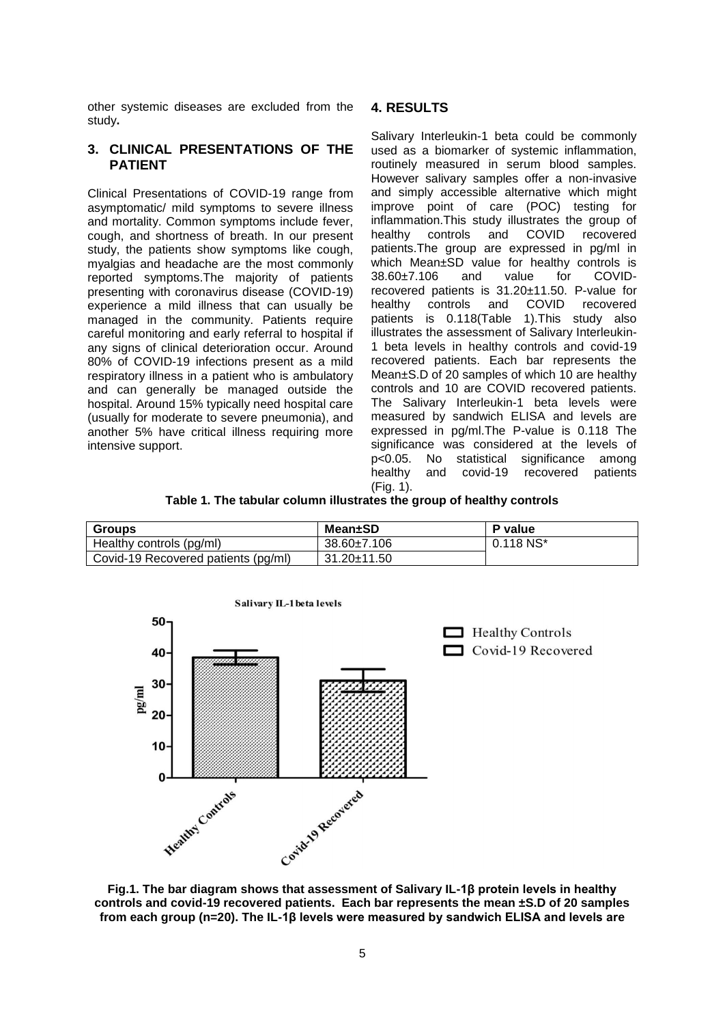other systemic diseases are excluded from the study**.**

#### **3. CLINICAL PRESENTATIONS OF THE PATIENT**

Clinical Presentations of COVID-19 range from asymptomatic/ mild symptoms to severe illness and mortality. Common symptoms include fever, cough, and shortness of breath. In our present study, the patients show symptoms like cough, myalgias and headache are the most commonly reported symptoms.The majority of patients presenting with coronavirus disease (COVID-19) experience a mild illness that can usually be managed in the community. Patients require careful monitoring and early referral to hospital if any signs of clinical deterioration occur. Around 80% of COVID-19 infections present as a mild respiratory illness in a patient who is ambulatory and can generally be managed outside the hospital. Around 15% typically need hospital care (usually for moderate to severe pneumonia), and another 5% have critical illness requiring more intensive support.

# **4. RESULTS**

Salivary Interleukin-1 beta could be commonly used as a biomarker of systemic inflammation, routinely measured in serum blood samples. However salivary samples offer a non-invasive and simply accessible alternative which might improve point of care (POC) testing for inflammation.This study illustrates the group of<br>healthy controls and COVID recovered healthy controls and COVID recovered patients.The group are expressed in pg/ml in which Mean±SD value for healthy controls is 38.60±7.106 and value for COVIDrecovered patients is 31.20±11.50. P-value for healthy controls and COVID recovered patients is 0.118(Table 1).This study also illustrates the assessment of Salivary Interleukin-1 beta levels in healthy controls and covid-19 recovered patients. Each bar represents the Mean±S.D of 20 samples of which 10 are healthy controls and 10 are COVID recovered patients. The Salivary Interleukin-1 beta levels were measured by sandwich ELISA and levels are expressed in pg/ml.The P-value is 0.118 The significance was considered at the levels of  $p<0.05$ . No statistical significance among p<0.05. No statistical significance among healthy and covid-19 recovered patients (Fig. 1).

|  |  |  |  | Table 1. The tabular column illustrates the group of healthy controls |  |  |  |  |  |  |  |
|--|--|--|--|-----------------------------------------------------------------------|--|--|--|--|--|--|--|
|--|--|--|--|-----------------------------------------------------------------------|--|--|--|--|--|--|--|

| <b>Groups</b>                       | Mean±SD           | P value     |
|-------------------------------------|-------------------|-------------|
| Healthy controls (pg/ml)            | 38.60±7.106       | $0.118$ NS* |
| Covid-19 Recovered patients (pg/ml) | $31.20 \pm 11.50$ |             |



**Fig.1. The bar diagram shows that assessment of Salivary IL-1β protein levels in healthy controls and covid-19 recovered patients. Each bar represents the mean ±S.D of 20 samples from each group (n=20). The IL-1β levels were measured by sandwich ELISA and levels are**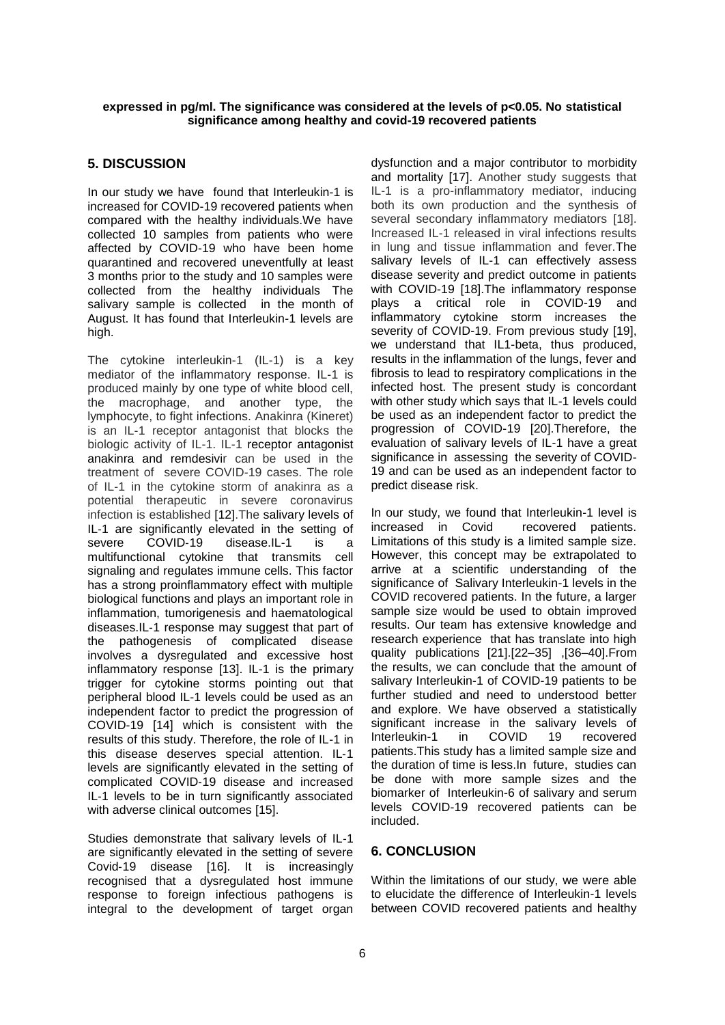#### **expressed in pg/ml. The significance was considered at the levels of p<0.05. No statistical significance among healthy and covid-19 recovered patients**

# **5. DISCUSSION**

In our study we have found that Interleukin-1 is increased for COVID-19 recovered patients when compared with the healthy individuals.We have collected 10 samples from patients who were affected by COVID-19 who have been home quarantined and recovered uneventfully at least 3 months prior to the study and 10 samples were collected from the healthy individuals The salivary sample is collected in the month of August. It has found that Interleukin-1 levels are high.

The cytokine interleukin-1 (IL-1) is a key mediator of the inflammatory response. IL-1 is produced mainly by one type of white blood cell, the macrophage, and another type, the lymphocyte, to fight infections. Anakinra (Kineret) is an IL-1 receptor antagonist that blocks the biologic activity of IL-1. IL-1 receptor antagonist anakinra and remdesivir can be used in the treatment of severe COVID-19 cases. The role of IL-1 in the cytokine storm of anakinra as a potential therapeutic in severe coronavirus infection is established [12].The salivary levels of IL‐1 are significantly elevated in the setting of severe COVID-19 disease.IL-1 is a multifunctional cytokine that transmits cell signaling and regulates immune cells. This factor has a strong proinflammatory effect with multiple biological functions and plays an important role in inflammation, tumorigenesis and haematological diseases.IL‐1 response may suggest that part of the pathogenesis of complicated disease involves a dysregulated and excessive host inflammatory response [13]. IL-1 is the primary trigger for cytokine storms pointing out that peripheral blood IL-1 levels could be used as an independent factor to predict the progression of COVID-19 [14] which is consistent with the results of this study. Therefore, the role of IL-1 in this disease deserves special attention. IL‐1 levels are significantly elevated in the setting of complicated COVID‐19 disease and increased IL‐1 levels to be in turn significantly associated with adverse clinical outcomes [15].

Studies demonstrate that salivary levels of IL‐1 are significantly elevated in the setting of severe Covid‐19 disease [16]. It is increasingly recognised that a dysregulated host immune response to foreign infectious pathogens is integral to the development of target organ

dysfunction and a major contributor to morbidity and mortality [17]. Another study suggests that IL-1 is a pro-inflammatory mediator, inducing both its own production and the synthesis of several secondary inflammatory mediators [18]. Increased IL-1 released in viral infections results in lung and tissue inflammation and fever.The salivary levels of IL-1 can effectively assess disease severity and predict outcome in patients with COVID-19 [18].The inflammatory response plays a critical role in COVID-19 and inflammatory cytokine storm increases the severity of COVID-19. From previous study [19], we understand that IL1-beta, thus produced, results in the inflammation of the lungs, fever and fibrosis to lead to respiratory complications in the infected host. The present study is concordant with other study which says that IL-1 levels could be used as an independent factor to predict the progression of COVID-19 [20].Therefore, the evaluation of salivary levels of IL-1 have a great significance in assessing the severity of COVID-19 and can be used as an independent factor to predict disease risk.

In our study, we found that Interleukin-1 level is increased in Covid recovered patients. Limitations of this study is a limited sample size. However, this concept may be extrapolated to arrive at a scientific understanding of the significance of Salivary Interleukin-1 levels in the COVID recovered patients. In the future, a larger sample size would be used to obtain improved results. Our team has extensive knowledge and research experience that has translate into high quality publications [21].[22–35] ,[36–40].From the results, we can conclude that the amount of salivary Interleukin-1 of COVID-19 patients to be further studied and need to understood better and explore. We have observed a statistically significant increase in the salivary levels of Interleukin-1 in COVID 19 recovered patients.This study has a limited sample size and the duration of time is less.In future, studies can be done with more sample sizes and the biomarker of Interleukin-6 of salivary and serum levels COVID-19 recovered patients can be included.

# **6. CONCLUSION**

Within the limitations of our study, we were able to elucidate the difference of Interleukin-1 levels between COVID recovered patients and healthy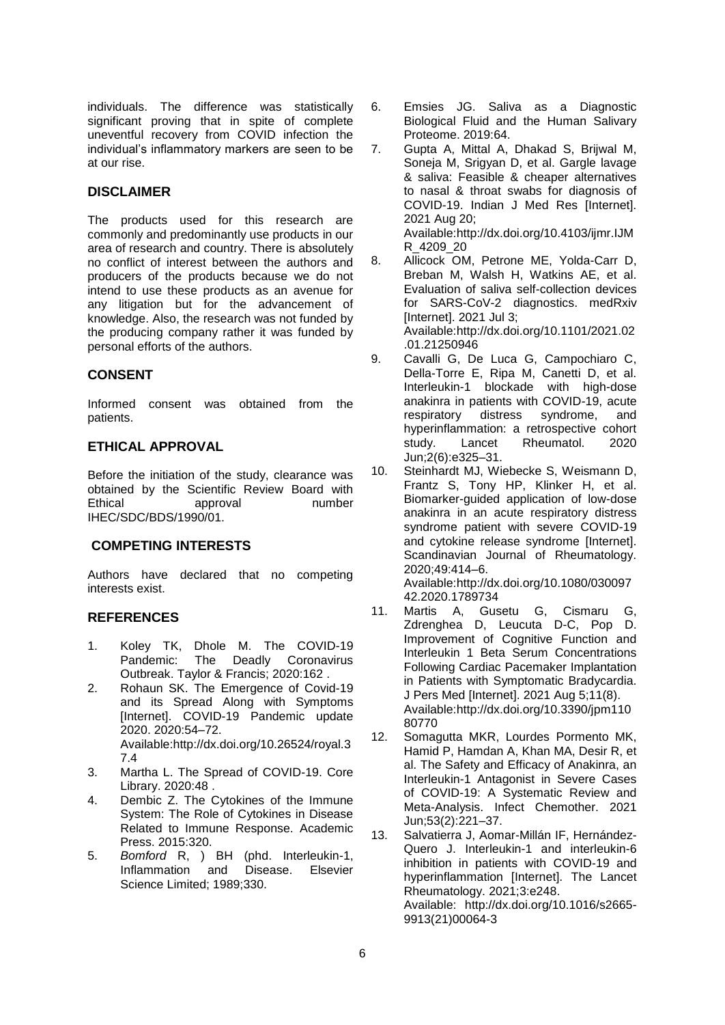individuals. The difference was statistically significant proving that in spite of complete uneventful recovery from COVID infection the individual's inflammatory markers are seen to be at our rise.

# **DISCLAIMER**

The products used for this research are commonly and predominantly use products in our area of research and country. There is absolutely no conflict of interest between the authors and producers of the products because we do not intend to use these products as an avenue for any litigation but for the advancement of knowledge. Also, the research was not funded by the producing company rather it was funded by personal efforts of the authors.

# **CONSENT**

Informed consent was obtained from the patients.

# **ETHICAL APPROVAL**

Before the initiation of the study, clearance was obtained by the Scientific Review Board with Ethical approval number IHEC/SDC/BDS/1990/01.

# **COMPETING INTERESTS**

Authors have declared that no competing interests exist.

# **REFERENCES**

- 1. Koley TK, Dhole M. The COVID-19 Pandemic: The Deadly Coronavirus Outbreak. Taylor & Francis; 2020:162 .
- 2. Rohaun SK. The Emergence of Covid-19 and its Spread Along with Symptoms [Internet]. COVID-19 Pandemic update 2020. 2020:54–72. Available:http://dx.doi.org/10.26524/royal.3 7.4
- 3. Martha L. The Spread of COVID-19. Core Library. 2020:48 .
- 4. Dembic Z. The Cytokines of the Immune System: The Role of Cytokines in Disease Related to Immune Response. Academic Press. 2015:320.
- 5. *Bomford* R, ) BH (phd. Interleukin-1, Inflammation and Disease. Elsevier Science Limited; 1989;330.
- 6. Emsies JG. Saliva as a Diagnostic Biological Fluid and the Human Salivary Proteome. 2019:64.
- 7. Gupta A, Mittal A, Dhakad S, Brijwal M, Soneja M, Srigyan D, et al. Gargle lavage & saliva: Feasible & cheaper alternatives to nasal & throat swabs for diagnosis of COVID-19. Indian J Med Res [Internet]. 2021 Aug 20; Available:http://dx.doi.org/10.4103/ijmr.IJM

R\_4209\_20

- 8. Allicock OM, Petrone ME, Yolda-Carr D, Breban M, Walsh H, Watkins AE, et al. Evaluation of saliva self-collection devices for SARS-CoV-2 diagnostics. medRxiv [Internet]. 2021 Jul 3; Available:http://dx.doi.org/10.1101/2021.02 .01.21250946
- 9. Cavalli G, De Luca G, Campochiaro C, Della-Torre E, Ripa M, Canetti D, et al. Interleukin-1 blockade with high-dose anakinra in patients with COVID-19, acute respiratory distress syndrome, and hyperinflammation: a retrospective cohort study. Lancet Rheumatol. 2020 Jun;2(6):e325–31.
- 10. Steinhardt MJ, Wiebecke S, Weismann D, Frantz S, Tony HP, Klinker H, et al. Biomarker-guided application of low-dose anakinra in an acute respiratory distress syndrome patient with severe COVID-19 and cytokine release syndrome [Internet]. Scandinavian Journal of Rheumatology. 2020;49:414–6.

Available:http://dx.doi.org/10.1080/030097 42.2020.1789734

- 11. Martis A, Gusetu G, Cismaru G, Zdrenghea D, Leucuta D-C, Pop D. Improvement of Cognitive Function and Interleukin 1 Beta Serum Concentrations Following Cardiac Pacemaker Implantation in Patients with Symptomatic Bradycardia. J Pers Med [Internet]. 2021 Aug 5;11(8). Available:http://dx.doi.org/10.3390/jpm110 80770
- 12. Somagutta MKR, Lourdes Pormento MK, Hamid P, Hamdan A, Khan MA, Desir R, et al. The Safety and Efficacy of Anakinra, an Interleukin-1 Antagonist in Severe Cases of COVID-19: A Systematic Review and Meta-Analysis. Infect Chemother. 2021 Jun;53(2):221–37.
- 13. Salvatierra J, Aomar-Millán IF, Hernández-Quero J. Interleukin-1 and interleukin-6 inhibition in patients with COVID-19 and hyperinflammation [Internet]. The Lancet Rheumatology. 2021;3:e248. Available: http://dx.doi.org/10.1016/s2665- 9913(21)00064-3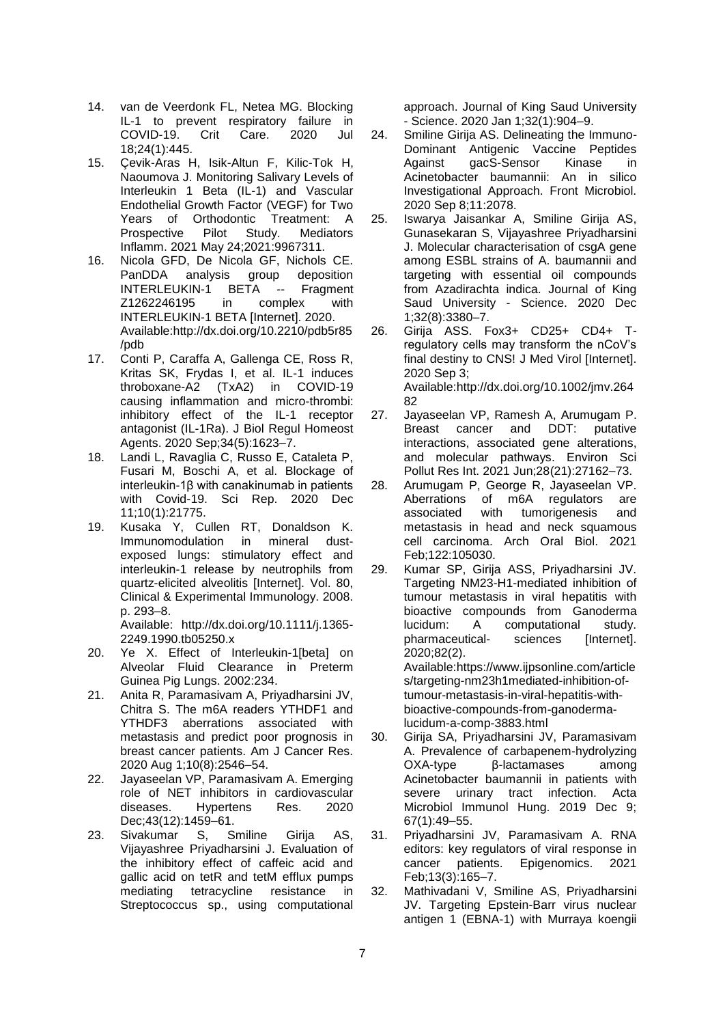- 14. van de Veerdonk FL, Netea MG. Blocking IL-1 to prevent respiratory failure in COVID-19. Crit Care. 2020 Jul 18;24(1):445.
- 15. Çevik-Aras H, Isik-Altun F, Kilic-Tok H, Naoumova J. Monitoring Salivary Levels of Interleukin 1 Beta (IL-1) and Vascular Endothelial Growth Factor (VEGF) for Two Years of Orthodontic Treatment: A<br>Prospective Pilot Study. Mediators Prospective Pilot Study. Mediators Inflamm. 2021 May 24;2021:9967311.
- 16. Nicola GFD, De Nicola GF, Nichols CE. PanDDA analysis group deposition<br>INTERLEUKIN-1 BETA -- Fragment INTERLEUKIN-1 BETA -- Fragment Z1262246195 in complex with INTERLEUKIN-1 BETA [Internet]. 2020. Available:http://dx.doi.org/10.2210/pdb5r85 /pdb
- 17. Conti P, Caraffa A, Gallenga CE, Ross R, Kritas SK, Frydas I, et al. IL-1 induces throboxane-A2 (TxA2) in COVID-19 causing inflammation and micro-thrombi: inhibitory effect of the IL-1 receptor antagonist (IL-1Ra). J Biol Regul Homeost Agents. 2020 Sep;34(5):1623–7.
- 18. Landi L, Ravaglia C, Russo E, Cataleta P, Fusari M, Boschi A, et al. Blockage of interleukin-1β with canakinumab in patients with Covid-19. Sci Rep. 2020 Dec 11;10(1):21775.
- 19. Kusaka Y, Cullen RT, Donaldson K. Immunomodulation in mineral dustexposed lungs: stimulatory effect and interleukin-1 release by neutrophils from quartz-elicited alveolitis [Internet]. Vol. 80, Clinical & Experimental Immunology. 2008. p. 293–8.

Available: http://dx.doi.org/10.1111/j.1365- 2249.1990.tb05250.x

- 20. Ye X. Effect of Interleukin-1[beta] on Alveolar Fluid Clearance in Preterm Guinea Pig Lungs. 2002:234.
- 21. Anita R, Paramasivam A, Priyadharsini JV, Chitra S. The m6A readers YTHDF1 and YTHDF3 aberrations associated with metastasis and predict poor prognosis in breast cancer patients. Am J Cancer Res. 2020 Aug 1;10(8):2546–54.
- 22. Jayaseelan VP, Paramasivam A. Emerging role of NET inhibitors in cardiovascular diseases. Hypertens Res. 2020 Dec: 43(12): 1459-61.
- 23. Sivakumar S, Smiline Girija AS, Vijayashree Priyadharsini J. Evaluation of the inhibitory effect of caffeic acid and gallic acid on tetR and tetM efflux pumps mediating tetracycline resistance in Streptococcus sp., using computational

approach. Journal of King Saud University - Science. 2020 Jan 1;32(1):904–9.

- 24. Smiline Girija AS. Delineating the Immuno-Dominant Antigenic Vaccine Peptides Against gacS-Sensor Kinase in Acinetobacter baumannii: An in silico Investigational Approach. Front Microbiol. 2020 Sep 8;11:2078.
- 25. Iswarya Jaisankar A, Smiline Girija AS, Gunasekaran S, Vijayashree Priyadharsini J. Molecular characterisation of csgA gene among ESBL strains of A. baumannii and targeting with essential oil compounds from Azadirachta indica. Journal of King Saud University - Science. 2020 Dec 1;32(8):3380–7.
- 26. Girija ASS. Fox3+ CD25+ CD4+ Tregulatory cells may transform the nCoV's final destiny to CNS! J Med Virol [Internet]. 2020 Sep 3; Available:http://dx.doi.org/10.1002/jmv.264 82
- 27. Jayaseelan VP, Ramesh A, Arumugam P. Breast cancer and DDT: putative interactions, associated gene alterations, and molecular pathways. Environ Sci Pollut Res Int. 2021 Jun;28(21):27162–73.
- 28. Arumugam P, George R, Jayaseelan VP. Aberrations of m6A regulators are associated with tumorigenesis and metastasis in head and neck squamous cell carcinoma. Arch Oral Biol. 2021 Feb;122:105030.
- 29. Kumar SP, Girija ASS, Priyadharsini JV. Targeting NM23-H1-mediated inhibition of tumour metastasis in viral hepatitis with bioactive compounds from Ganoderma lucidum: A computational study. pharmaceutical- sciences [Internet]. 2020;82(2). Available:https://www.ijpsonline.com/article

s/targeting-nm23h1mediated-inhibition-oftumour-metastasis-in-viral-hepatitis-withbioactive-compounds-from-ganodermalucidum-a-comp-3883.html

- 30. Girija SA, Priyadharsini JV, Paramasivam A. Prevalence of carbapenem-hydrolyzing OXA-type β-lactamases among Acinetobacter baumannii in patients with severe urinary tract infection. Acta Microbiol Immunol Hung. 2019 Dec 9; 67(1):49–55.
- 31. Priyadharsini JV, Paramasivam A. RNA editors: key regulators of viral response in cancer patients. Epigenomics. 2021 Feb;13(3):165–7.
- 32. Mathivadani V, Smiline AS, Priyadharsini JV. Targeting Epstein-Barr virus nuclear antigen 1 (EBNA-1) with Murraya koengii